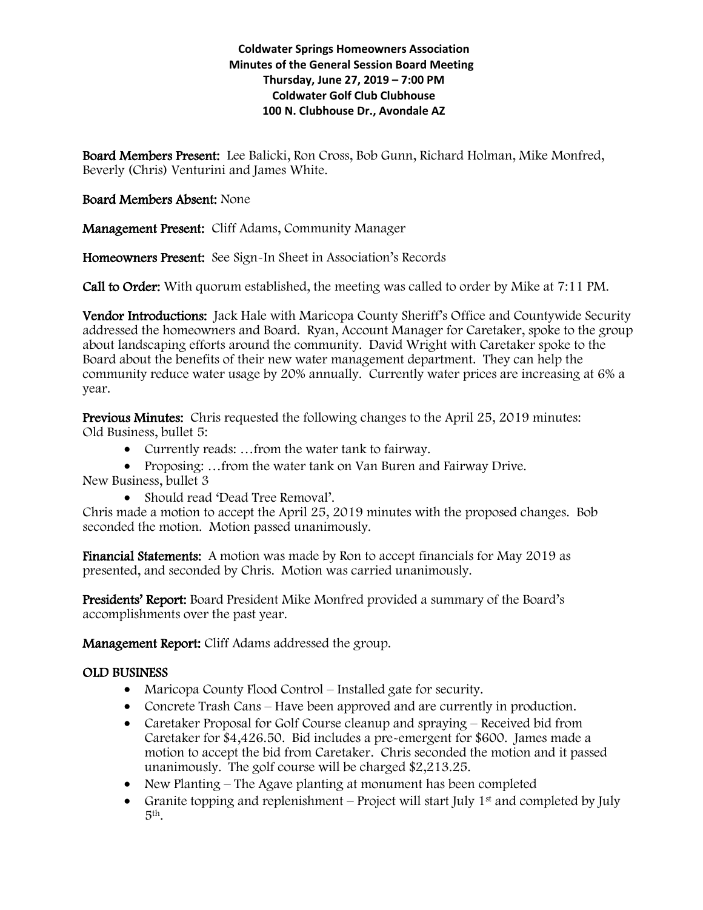### **Coldwater Springs Homeowners Association Minutes of the General Session Board Meeting Thursday, June 27, 2019 – 7:00 PM Coldwater Golf Club Clubhouse 100 N. Clubhouse Dr., Avondale AZ**

Board Members Present: Lee Balicki, Ron Cross, Bob Gunn, Richard Holman, Mike Monfred, Beverly (Chris) Venturini and James White.

## Board Members Absent: None

Management Present: Cliff Adams, Community Manager

Homeowners Present: See Sign-In Sheet in Association's Records

Call to Order: With quorum established, the meeting was called to order by Mike at 7:11 PM.

Vendor Introductions: Jack Hale with Maricopa County Sheriff's Office and Countywide Security addressed the homeowners and Board. Ryan, Account Manager for Caretaker, spoke to the group about landscaping efforts around the community. David Wright with Caretaker spoke to the Board about the benefits of their new water management department. They can help the community reduce water usage by 20% annually. Currently water prices are increasing at 6% a year.

Previous Minutes: Chris requested the following changes to the April 25, 2019 minutes: Old Business, bullet 5:

- Currently reads: …from the water tank to fairway.
- Proposing: ...from the water tank on Van Buren and Fairway Drive.

New Business, bullet 3

• Should read 'Dead Tree Removal'.

Chris made a motion to accept the April 25, 2019 minutes with the proposed changes. Bob seconded the motion. Motion passed unanimously.

Financial Statements: A motion was made by Ron to accept financials for May 2019 as presented, and seconded by Chris. Motion was carried unanimously.

Presidents' Report: Board President Mike Monfred provided a summary of the Board's accomplishments over the past year.

Management Report: Cliff Adams addressed the group.

# OLD BUSINESS

- Maricopa County Flood Control Installed gate for security.
- Concrete Trash Cans Have been approved and are currently in production.
- Caretaker Proposal for Golf Course cleanup and spraying Received bid from Caretaker for \$4,426.50. Bid includes a pre-emergent for \$600. James made a motion to accept the bid from Caretaker. Chris seconded the motion and it passed unanimously. The golf course will be charged \$2,213.25.
- New Planting The Agave planting at monument has been completed
- Granite topping and replenishment Project will start July  $1<sup>st</sup>$  and completed by July 5th.